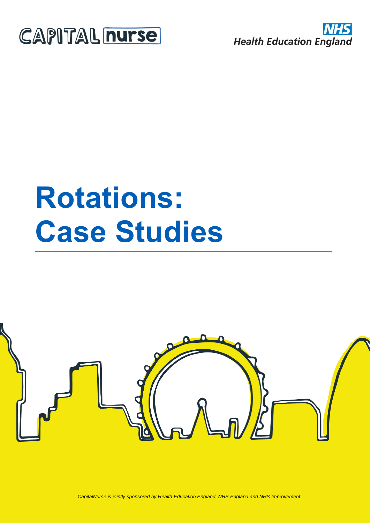



# **Rotations: Case Studies**



*CapitalNurse is jointly sponsored by Health Education England, NHS England and NHS Improvement*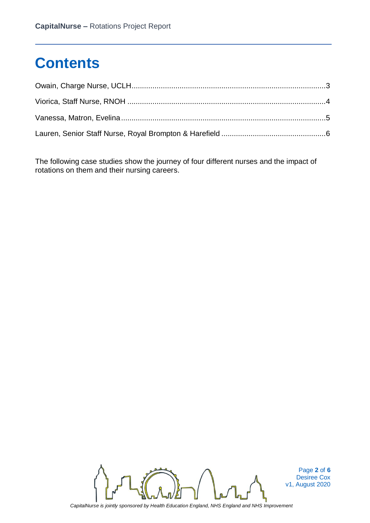# **Contents**

The following case studies show the journey of four different nurses and the impact of rotations on them and their nursing careers.



Page **2** of **6** Desiree Cox v1, August 2020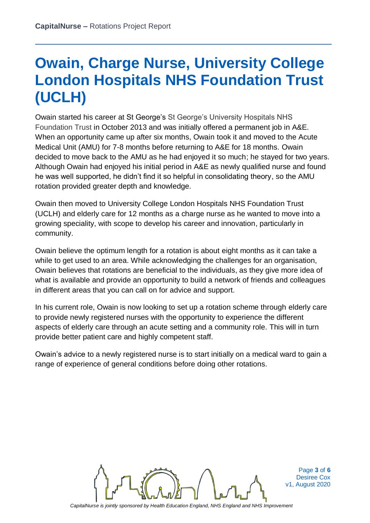# **Owain, Charge Nurse, University College London Hospitals NHS Foundation Trust (UCLH)**

Owain started his career at St George's St George's University Hospitals NHS Foundation Trust in October 2013 and was initially offered a permanent job in A&E. When an opportunity came up after six months, Owain took it and moved to the Acute Medical Unit (AMU) for 7-8 months before returning to A&E for 18 months. Owain decided to move back to the AMU as he had enjoyed it so much; he stayed for two years. Although Owain had enjoyed his initial period in A&E as newly qualified nurse and found he was well supported, he didn't find it so helpful in consolidating theory, so the AMU rotation provided greater depth and knowledge.

Owain then moved to University College London Hospitals NHS Foundation Trust (UCLH) and elderly care for 12 months as a charge nurse as he wanted to move into a growing speciality, with scope to develop his career and innovation, particularly in community.

Owain believe the optimum length for a rotation is about eight months as it can take a while to get used to an area. While acknowledging the challenges for an organisation, Owain believes that rotations are beneficial to the individuals, as they give more idea of what is available and provide an opportunity to build a network of friends and colleagues in different areas that you can call on for advice and support.

In his current role, Owain is now looking to set up a rotation scheme through elderly care to provide newly registered nurses with the opportunity to experience the different aspects of elderly care through an acute setting and a community role. This will in turn provide better patient care and highly competent staff.

Owain's advice to a newly registered nurse is to start initially on a medical ward to gain a range of experience of general conditions before doing other rotations.



Page **3** of **6** Desiree Cox v1, August 2020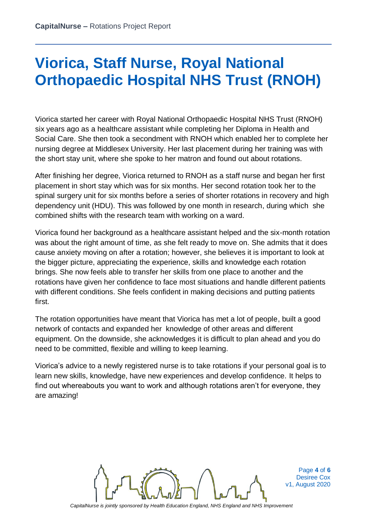#### **Viorica, Staff Nurse, Royal National Orthopaedic Hospital NHS Trust (RNOH)**

Viorica started her career with Royal National Orthopaedic Hospital NHS Trust (RNOH) six years ago as a healthcare assistant while completing her Diploma in Health and Social Care. She then took a secondment with RNOH which enabled her to complete her nursing degree at Middlesex University. Her last placement during her training was with the short stay unit, where she spoke to her matron and found out about rotations.

After finishing her degree, Viorica returned to RNOH as a staff nurse and began her first placement in short stay which was for six months. Her second rotation took her to the spinal surgery unit for six months before a series of shorter rotations in recovery and high dependency unit (HDU). This was followed by one month in research, during which she combined shifts with the research team with working on a ward.

Viorica found her background as a healthcare assistant helped and the six-month rotation was about the right amount of time, as she felt ready to move on. She admits that it does cause anxiety moving on after a rotation; however, she believes it is important to look at the bigger picture, appreciating the experience, skills and knowledge each rotation brings. She now feels able to transfer her skills from one place to another and the rotations have given her confidence to face most situations and handle different patients with different conditions. She feels confident in making decisions and putting patients first.

The rotation opportunities have meant that Viorica has met a lot of people, built a good network of contacts and expanded her knowledge of other areas and different equipment. On the downside, she acknowledges it is difficult to plan ahead and you do need to be committed, flexible and willing to keep learning.

Viorica's advice to a newly registered nurse is to take rotations if your personal goal is to learn new skills, knowledge, have new experiences and develop confidence. It helps to find out whereabouts you want to work and although rotations aren't for everyone, they are amazing!



Page **4** of **6** Desiree Cox v1, August 2020

*CapitalNurse is jointly sponsored by Health Education England, NHS England and NHS Improvement*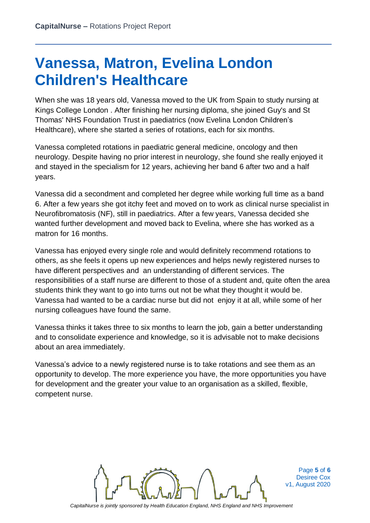#### **Vanessa, Matron, Evelina London Children's Healthcare**

When she was 18 years old, Vanessa moved to the UK from Spain to study nursing at Kings College London . After finishing her nursing diploma, she joined Guy's and St Thomas' NHS Foundation Trust in paediatrics (now Evelina London Children's Healthcare), where she started a series of rotations, each for six months.

Vanessa completed rotations in paediatric general medicine, oncology and then neurology. Despite having no prior interest in neurology, she found she really enjoyed it and stayed in the specialism for 12 years, achieving her band 6 after two and a half years.

Vanessa did a secondment and completed her degree while working full time as a band 6. After a few years she got itchy feet and moved on to work as clinical nurse specialist in Neurofibromatosis (NF), still in paediatrics. After a few years, Vanessa decided she wanted further development and moved back to Evelina, where she has worked as a matron for 16 months.

Vanessa has enjoyed every single role and would definitely recommend rotations to others, as she feels it opens up new experiences and helps newly registered nurses to have different perspectives and an understanding of different services. The responsibilities of a staff nurse are different to those of a student and, quite often the area students think they want to go into turns out not be what they thought it would be. Vanessa had wanted to be a cardiac nurse but did not enjoy it at all, while some of her nursing colleagues have found the same.

Vanessa thinks it takes three to six months to learn the job, gain a better understanding and to consolidate experience and knowledge, so it is advisable not to make decisions about an area immediately.

Vanessa's advice to a newly registered nurse is to take rotations and see them as an opportunity to develop. The more experience you have, the more opportunities you have for development and the greater your value to an organisation as a skilled, flexible, competent nurse.



Page **5** of **6** Desiree Cox v1, August 2020